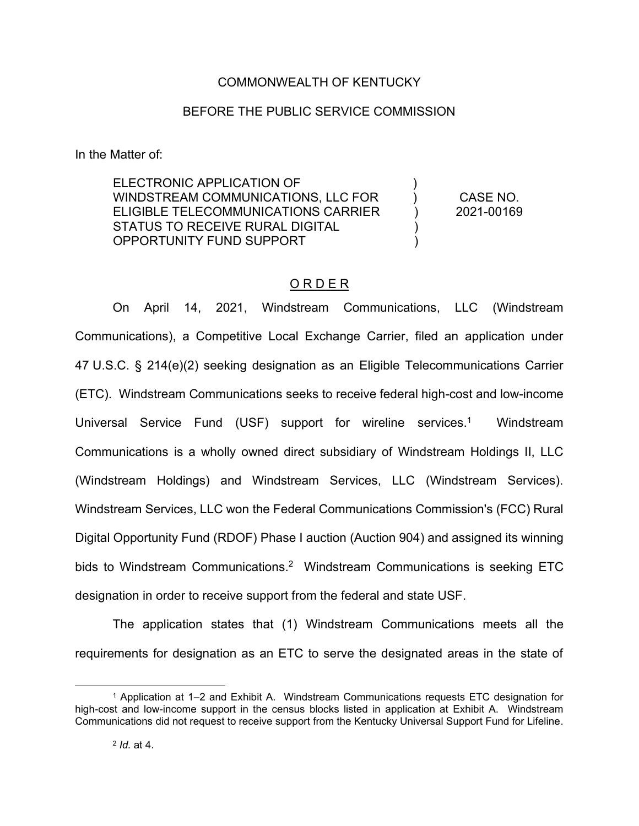# COMMONWEALTH OF KENTUCKY

## BEFORE THE PUBLIC SERVICE COMMISSION

In the Matter of:

ELECTRONIC APPLICATION OF WINDSTREAM COMMUNICATIONS, LLC FOR ELIGIBLE TELECOMMUNICATIONS CARRIER STATUS TO RECEIVE RURAL DIGITAL OPPORTUNITY FUND SUPPORT  $\lambda$  $\lambda$  $\lambda$ )  $\lambda$ CASE NO. 2021-00169

# O R D E R

On April 14, 2021, Windstream Communications, LLC (Windstream Communications), a Competitive Local Exchange Carrier, filed an application under 47 U.S.C. § 214(e)(2) seeking designation as an Eligible Telecommunications Carrier (ETC). Windstream Communications seeks to receive federal high-cost and low-income Universal Service Fund (USF) support for wireline services.<sup>1</sup> Windstream Communications is a wholly owned direct subsidiary of Windstream Holdings II, LLC (Windstream Holdings) and Windstream Services, LLC (Windstream Services). Windstream Services, LLC won the Federal Communications Commission's (FCC) Rural Digital Opportunity Fund (RDOF) Phase I auction (Auction 904) and assigned its winning bids to Windstream Communications.<sup>2</sup> Windstream Communications is seeking ETC designation in order to receive support from the federal and state USF.

The application states that (1) Windstream Communications meets all the requirements for designation as an ETC to serve the designated areas in the state of

<sup>1</sup> Application at 1–2 and Exhibit A. Windstream Communications requests ETC designation for high-cost and low-income support in the census blocks listed in application at Exhibit A. Windstream Communications did not request to receive support from the Kentucky Universal Support Fund for Lifeline.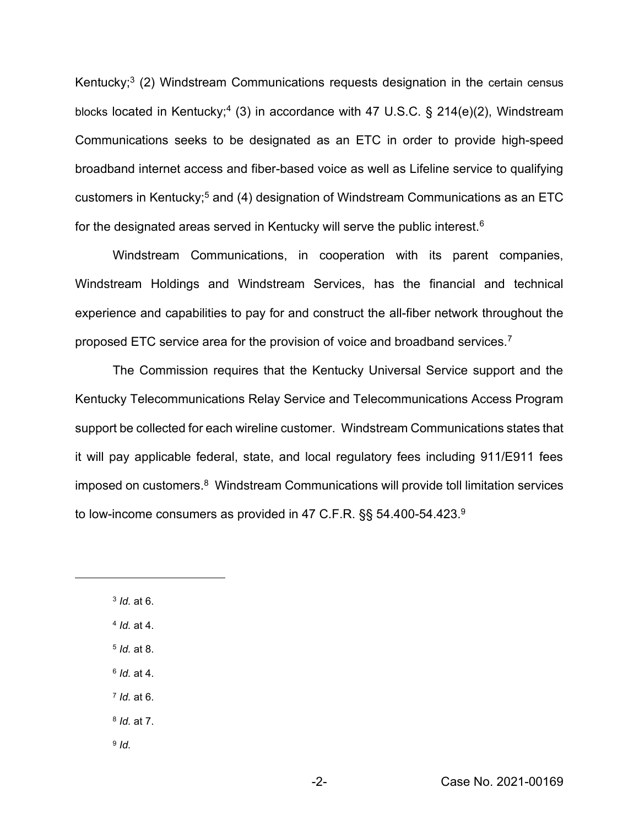Kentucky;<sup>3</sup> (2) Windstream Communications requests designation in the certain census blocks located in Kentucky;<sup>4</sup> (3) in accordance with 47 U.S.C. § 214(e)(2), Windstream Communications seeks to be designated as an ETC in order to provide high-speed broadband internet access and fiber-based voice as well as Lifeline service to qualifying customers in Kentucky;<sup>5</sup> and (4) designation of Windstream Communications as an ETC for the designated areas served in Kentucky will serve the public interest.<sup>6</sup>

Windstream Communications, in cooperation with its parent companies, Windstream Holdings and Windstream Services, has the financial and technical experience and capabilities to pay for and construct the all-fiber network throughout the proposed ETC service area for the provision of voice and broadband services.7

The Commission requires that the Kentucky Universal Service support and the Kentucky Telecommunications Relay Service and Telecommunications Access Program support be collected for each wireline customer. Windstream Communications states that it will pay applicable federal, state, and local regulatory fees including 911/E911 fees imposed on customers.<sup>8</sup> Windstream Communications will provide toll limitation services to low-income consumers as provided in 47 C.F.R. §§ 54.400-54.423.9

 *Id.* at 6. *Id.* at 4. *Id.* at 8. *Id.* at 4. *Id.* at 6. *Id.* at 7. <sup>9</sup> *Id.*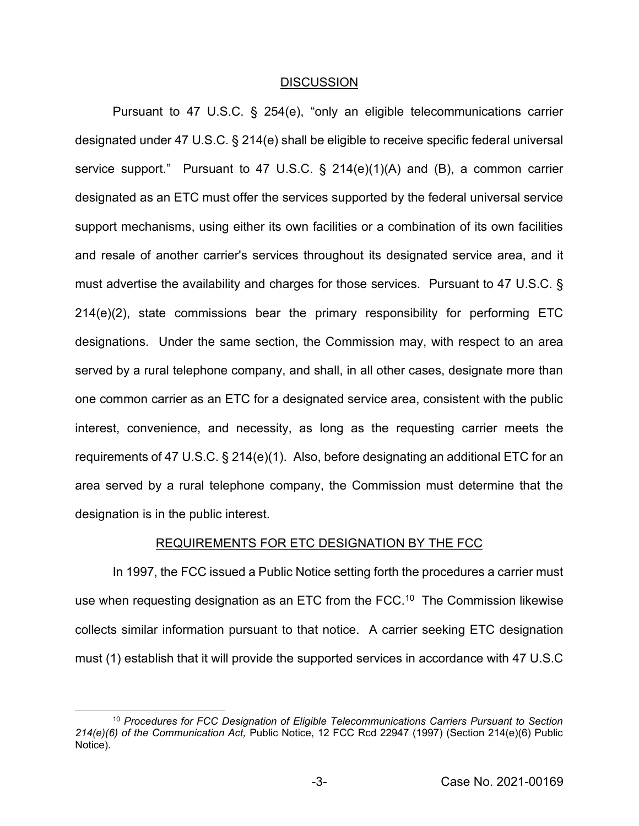### DISCUSSION

Pursuant to 47 U.S.C. § 254(e), "only an eligible telecommunications carrier designated under 47 U.S.C. § 214(e) shall be eligible to receive specific federal universal service support." Pursuant to 47 U.S.C. § 214(e)(1)(A) and (B), a common carrier designated as an ETC must offer the services supported by the federal universal service support mechanisms, using either its own facilities or a combination of its own facilities and resale of another carrier's services throughout its designated service area, and it must advertise the availability and charges for those services. Pursuant to 47 U.S.C. § 214(e)(2), state commissions bear the primary responsibility for performing ETC designations. Under the same section, the Commission may, with respect to an area served by a rural telephone company, and shall, in all other cases, designate more than one common carrier as an ETC for a designated service area, consistent with the public interest, convenience, and necessity, as long as the requesting carrier meets the requirements of 47 U.S.C. § 214(e)(1). Also, before designating an additional ETC for an area served by a rural telephone company, the Commission must determine that the designation is in the public interest.

## REQUIREMENTS FOR ETC DESIGNATION BY THE FCC

In 1997, the FCC issued a Public Notice setting forth the procedures a carrier must use when requesting designation as an ETC from the FCC.<sup>10</sup> The Commission likewise collects similar information pursuant to that notice. A carrier seeking ETC designation must (1) establish that it will provide the supported services in accordance with 47 U.S.C

<sup>10</sup> *Procedures for FCC Designation of Eligible Telecommunications Carriers Pursuant to Section 214(e)(6) of the Communication Act,* Public Notice, 12 FCC Rcd 22947 (1997) (Section 214(e)(6) Public Notice).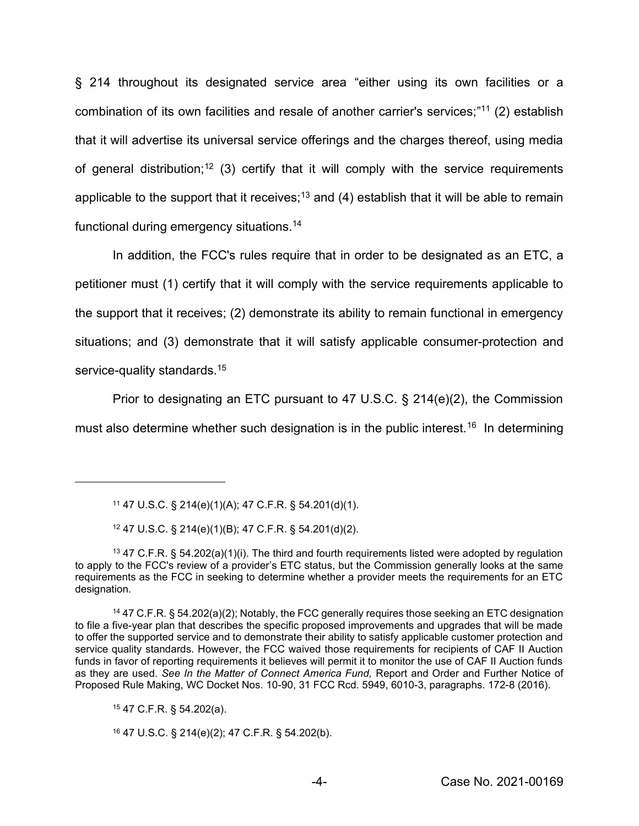§ 214 throughout its designated service area "either using its own facilities or a combination of its own facilities and resale of another carrier's services;"<sup>11</sup> (2) establish that it will advertise its universal service offerings and the charges thereof, using media of general distribution;<sup>12</sup> (3) certify that it will comply with the service requirements applicable to the support that it receives;<sup>13</sup> and (4) establish that it will be able to remain functional during emergency situations.14

In addition, the FCC's rules require that in order to be designated as an ETC, a petitioner must (1) certify that it will comply with the service requirements applicable to the support that it receives; (2) demonstrate its ability to remain functional in emergency situations; and (3) demonstrate that it will satisfy applicable consumer-protection and service-quality standards.<sup>15</sup>

Prior to designating an ETC pursuant to 47 U.S.C.  $\S$  214(e)(2), the Commission must also determine whether such designation is in the public interest.<sup>16</sup> In determining

<sup>15</sup> 47 C.F.R. § 54.202(a).

<sup>16</sup> 47 U.S.C. § 214(e)(2); 47 C.F.R. § 54.202(b).

<sup>11</sup> 47 U.S.C. § 214(e)(1)(A); 47 C.F.R. § 54.201(d)(1).

<sup>12</sup> 47 U.S.C. § 214(e)(1)(B); 47 C.F.R. § 54.201(d)(2).

<sup>13</sup> 47 C.F.R. § 54.202(a)(1)(i). The third and fourth requirements listed were adopted by regulation to apply to the FCC's review of a provider's ETC status, but the Commission generally looks at the same requirements as the FCC in seeking to determine whether a provider meets the requirements for an ETC designation.

<sup>14</sup> 47 C.F.R. § 54.202(a)(2); Notably, the FCC generally requires those seeking an ETC designation to file a five-year plan that describes the specific proposed improvements and upgrades that will be made to offer the supported service and to demonstrate their ability to satisfy applicable customer protection and service quality standards. However, the FCC waived those requirements for recipients of CAF II Auction funds in favor of reporting requirements it believes will permit it to monitor the use of CAF II Auction funds as they are used. *See In the Matter of Connect America Fund,* Report and Order and Further Notice of Proposed Rule Making, WC Docket Nos. 10-90, 31 FCC Rcd. 5949, 6010-3, paragraphs. 172-8 (2016).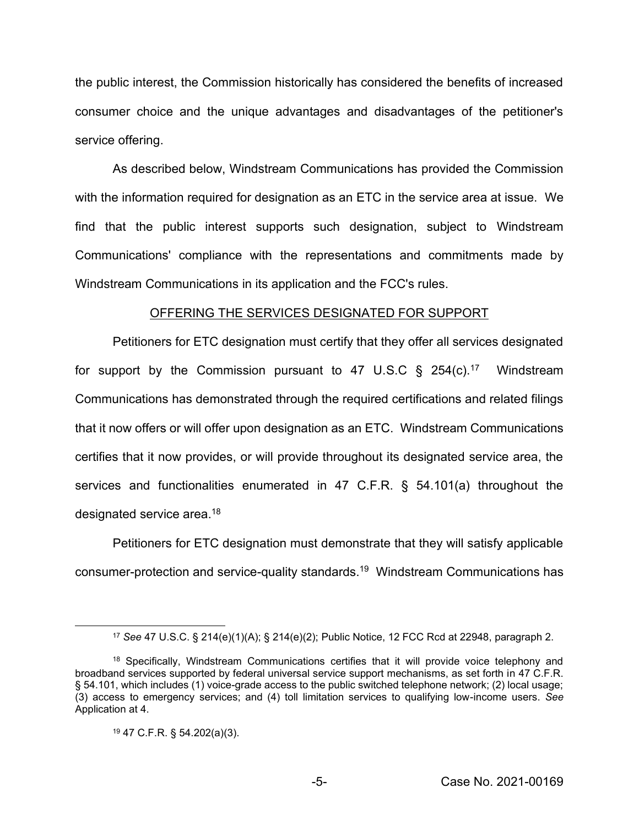the public interest, the Commission historically has considered the benefits of increased consumer choice and the unique advantages and disadvantages of the petitioner's service offering.

As described below, Windstream Communications has provided the Commission with the information required for designation as an ETC in the service area at issue. We find that the public interest supports such designation, subject to Windstream Communications' compliance with the representations and commitments made by Windstream Communications in its application and the FCC's rules.

#### OFFERING THE SERVICES DESIGNATED FOR SUPPORT

Petitioners for ETC designation must certify that they offer all services designated for support by the Commission pursuant to 47 U.S.C  $\S$  254(c).<sup>17</sup> Windstream Communications has demonstrated through the required certifications and related filings that it now offers or will offer upon designation as an ETC. Windstream Communications certifies that it now provides, or will provide throughout its designated service area, the services and functionalities enumerated in 47 C.F.R. § 54.101(a) throughout the designated service area.18

Petitioners for ETC designation must demonstrate that they will satisfy applicable consumer-protection and service-quality standards.19 Windstream Communications has

<sup>17</sup> *See* 47 U.S.C. § 214(e)(1)(A); § 214(e)(2); Public Notice, 12 FCC Rcd at 22948, paragraph 2.

<sup>&</sup>lt;sup>18</sup> Specifically, Windstream Communications certifies that it will provide voice telephony and broadband services supported by federal universal service support mechanisms, as set forth in 47 C.F.R. § 54.101, which includes (1) voice-grade access to the public switched telephone network; (2) local usage; (3) access to emergency services; and (4) toll limitation services to qualifying low-income users. *See*  Application at 4.

<sup>19</sup> 47 C.F.R. § 54.202(a)(3).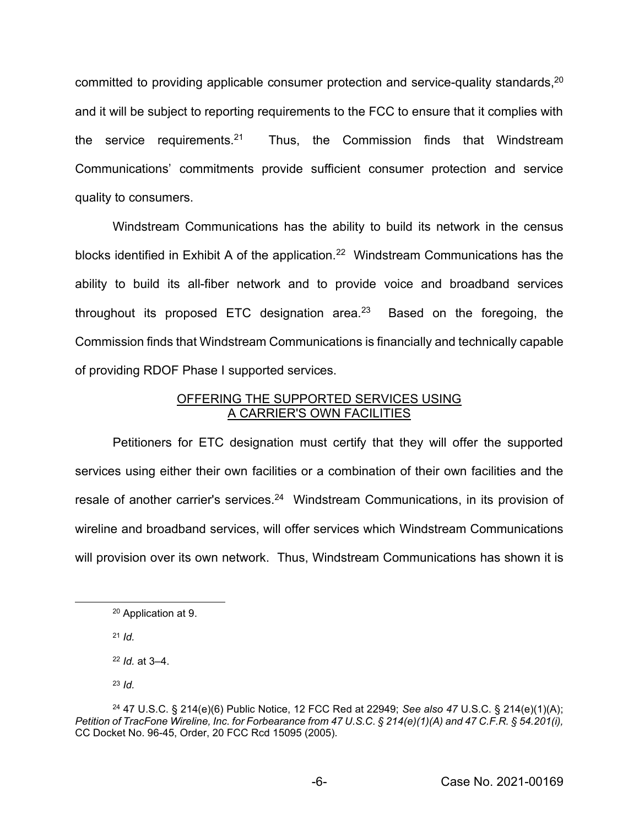committed to providing applicable consumer protection and service-quality standards, <sup>20</sup> and it will be subject to reporting requirements to the FCC to ensure that it complies with the service requirements.<sup>21</sup> Thus, the Commission finds that Windstream Communications' commitments provide sufficient consumer protection and service quality to consumers.

Windstream Communications has the ability to build its network in the census blocks identified in Exhibit A of the application.<sup>22</sup> Windstream Communications has the ability to build its all-fiber network and to provide voice and broadband services throughout its proposed ETC designation area.<sup>23</sup> Based on the foregoing, the Commission finds that Windstream Communications is financially and technically capable of providing RDOF Phase I supported services.

## OFFERING THE SUPPORTED SERVICES USING A CARRIER'S OWN FACILITIES

Petitioners for ETC designation must certify that they will offer the supported services using either their own facilities or a combination of their own facilities and the resale of another carrier's services.<sup>24</sup> Windstream Communications, in its provision of wireline and broadband services, will offer services which Windstream Communications will provision over its own network. Thus, Windstream Communications has shown it is

<sup>21</sup> *Id.*

<sup>22</sup> *Id.* at 3–4.

<sup>23</sup> *Id.* 

<sup>20</sup> Application at 9.

<sup>24</sup> 47 U.S.C. § 214(e)(6) Public Notice, 12 FCC Red at 22949; *See also 47* U.S.C. § 214(e)(1)(A); *Petition of TracFone Wireline, Inc. for Forbearance from 47 U.S.C. § 214(e)(1)(A) and 47 C.F.R. § 54.201(i),*  CC Docket No. 96-45, Order, 20 FCC Rcd 15095 (2005)*.*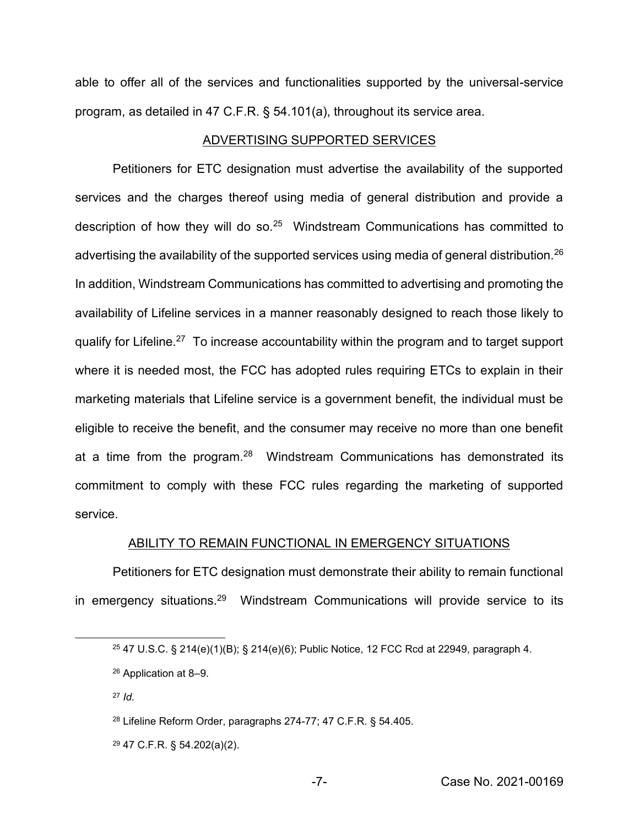able to offer all of the services and functionalities supported by the universal-service program, as detailed in 47 C.F.R. § 54.101(a), throughout its service area.

## ADVERTISING SUPPORTED SERVICES

Petitioners for ETC designation must advertise the availability of the supported services and the charges thereof using media of general distribution and provide a description of how they will do so.<sup>25</sup> Windstream Communications has committed to advertising the availability of the supported services using media of general distribution.<sup>26</sup> In addition, Windstream Communications has committed to advertising and promoting the availability of Lifeline services in a manner reasonably designed to reach those likely to qualify for Lifeline.27 To increase accountability within the program and to target support where it is needed most, the FCC has adopted rules requiring ETCs to explain in their marketing materials that Lifeline service is a government benefit, the individual must be eligible to receive the benefit, and the consumer may receive no more than one benefit at a time from the program.<sup>28</sup> Windstream Communications has demonstrated its commitment to comply with these FCC rules regarding the marketing of supported service.

## ABILITY TO REMAIN FUNCTIONAL IN EMERGENCY SITUATIONS

Petitioners for ETC designation must demonstrate their ability to remain functional in emergency situations.<sup>29</sup> Windstream Communications will provide service to its

- <sup>28</sup> Lifeline Reform Order, paragraphs 274-77; 47 C.F.R. § 54.405.
- <sup>29</sup> 47 C.F.R. § 54.202(a)(2).

<sup>25</sup> 47 U.S.C. § 214(e)(1)(B); § 214(e)(6); Public Notice, 12 FCC Rcd at 22949, paragraph 4.

<sup>26</sup> Application at 8–9.

<sup>27</sup> *Id.*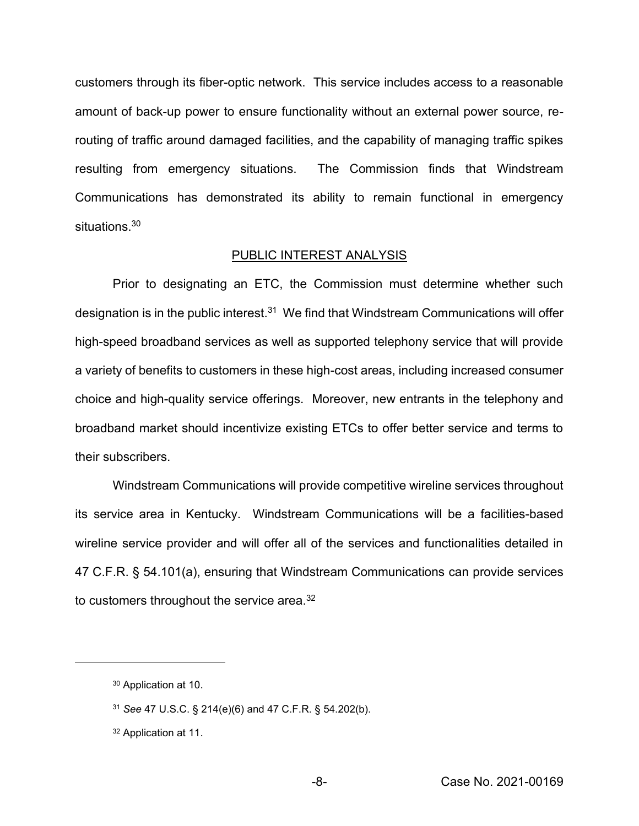customers through its fiber-optic network. This service includes access to a reasonable amount of back-up power to ensure functionality without an external power source, rerouting of traffic around damaged facilities, and the capability of managing traffic spikes resulting from emergency situations. The Commission finds that Windstream Communications has demonstrated its ability to remain functional in emergency situations.<sup>30</sup>

#### PUBLIC INTEREST ANALYSIS

Prior to designating an ETC, the Commission must determine whether such designation is in the public interest. $31$  We find that Windstream Communications will offer high-speed broadband services as well as supported telephony service that will provide a variety of benefits to customers in these high-cost areas, including increased consumer choice and high-quality service offerings. Moreover, new entrants in the telephony and broadband market should incentivize existing ETCs to offer better service and terms to their subscribers.

Windstream Communications will provide competitive wireline services throughout its service area in Kentucky. Windstream Communications will be a facilities-based wireline service provider and will offer all of the services and functionalities detailed in 47 C.F.R. § 54.101(a), ensuring that Windstream Communications can provide services to customers throughout the service area.<sup>32</sup>

<sup>30</sup> Application at 10.

<sup>31</sup> *See* 47 U.S.C. § 214(e)(6) and 47 C.F.R. § 54.202(b).

<sup>32</sup> Application at 11.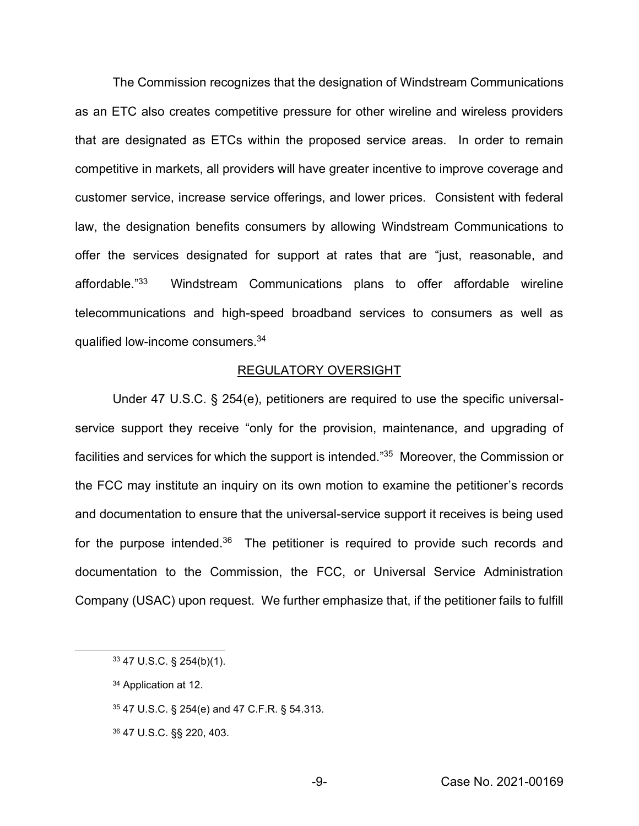The Commission recognizes that the designation of Windstream Communications as an ETC also creates competitive pressure for other wireline and wireless providers that are designated as ETCs within the proposed service areas. In order to remain competitive in markets, all providers will have greater incentive to improve coverage and customer service, increase service offerings, and lower prices. Consistent with federal law, the designation benefits consumers by allowing Windstream Communications to offer the services designated for support at rates that are "just, reasonable, and affordable." Windstream Communications plans to offer affordable wireline telecommunications and high-speed broadband services to consumers as well as qualified low-income consumers.34

### REGULATORY OVERSIGHT

Under 47 U.S.C. § 254(e), petitioners are required to use the specific universalservice support they receive "only for the provision, maintenance, and upgrading of facilities and services for which the support is intended."<sup>35</sup> Moreover, the Commission or the FCC may institute an inquiry on its own motion to examine the petitioner's records and documentation to ensure that the universal-service support it receives is being used for the purpose intended. $36$  The petitioner is required to provide such records and documentation to the Commission, the FCC, or Universal Service Administration Company (USAC) upon request. We further emphasize that, if the petitioner fails to fulfill

- <sup>35</sup> 47 U.S.C. § 254(e) and 47 C.F.R. § 54.313.
- <sup>36</sup> 47 U.S.C. §§ 220, 403.

<sup>33</sup> 47 U.S.C. § 254(b)(1).

<sup>34</sup> Application at 12.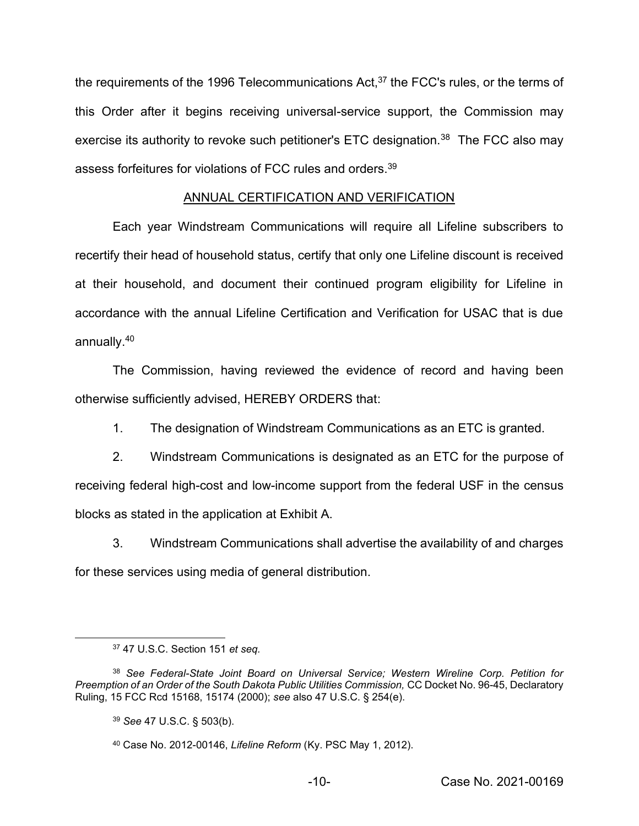the requirements of the 1996 Telecommunications Act,<sup>37</sup> the FCC's rules, or the terms of this Order after it begins receiving universal-service support, the Commission may exercise its authority to revoke such petitioner's ETC designation.<sup>38</sup> The FCC also may assess forfeitures for violations of FCC rules and orders.39

# ANNUAL CERTIFICATION AND VERIFICATION

Each year Windstream Communications will require all Lifeline subscribers to recertify their head of household status, certify that only one Lifeline discount is received at their household, and document their continued program eligibility for Lifeline in accordance with the annual Lifeline Certification and Verification for USAC that is due annually.40

The Commission, having reviewed the evidence of record and having been otherwise sufficiently advised, HEREBY ORDERS that:

1. The designation of Windstream Communications as an ETC is granted.

2. Windstream Communications is designated as an ETC for the purpose of receiving federal high-cost and low-income support from the federal USF in the census blocks as stated in the application at Exhibit A.

3. Windstream Communications shall advertise the availability of and charges for these services using media of general distribution.

<sup>37</sup> 47 U.S.C. Section 151 *et seq.*

<sup>38</sup> *See Federal-State Joint Board on Universal Service; Western Wireline Corp. Petition for Preemption of an Order of the South Dakota Public Utilities Commission,* CC Docket No. 96-45, Declaratory Ruling, 15 FCC Rcd 15168, 15174 (2000); *see* also 47 U.S.C. § 254(e).

<sup>39</sup> *See* 47 U.S.C. § 503(b).

<sup>40</sup> Case No. 2012-00146, *Lifeline Reform* (Ky. PSC May 1, 2012).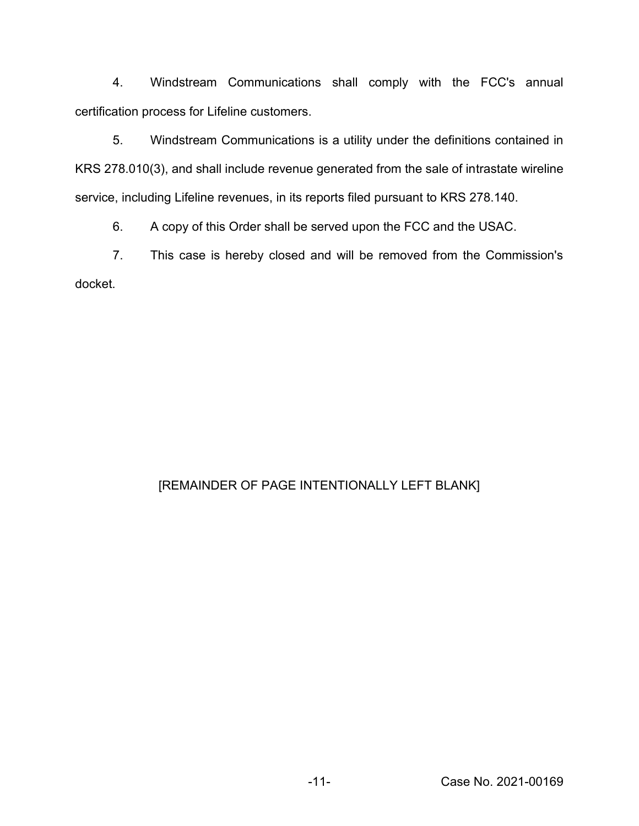4. Windstream Communications shall comply with the FCC's annual certification process for Lifeline customers.

5. Windstream Communications is a utility under the definitions contained in KRS 278.010(3), and shall include revenue generated from the sale of intrastate wireline service, including Lifeline revenues, in its reports filed pursuant to KRS 278.140.

6. A copy of this Order shall be served upon the FCC and the USAC.

7. This case is hereby closed and will be removed from the Commission's docket.

# [REMAINDER OF PAGE INTENTIONALLY LEFT BLANK]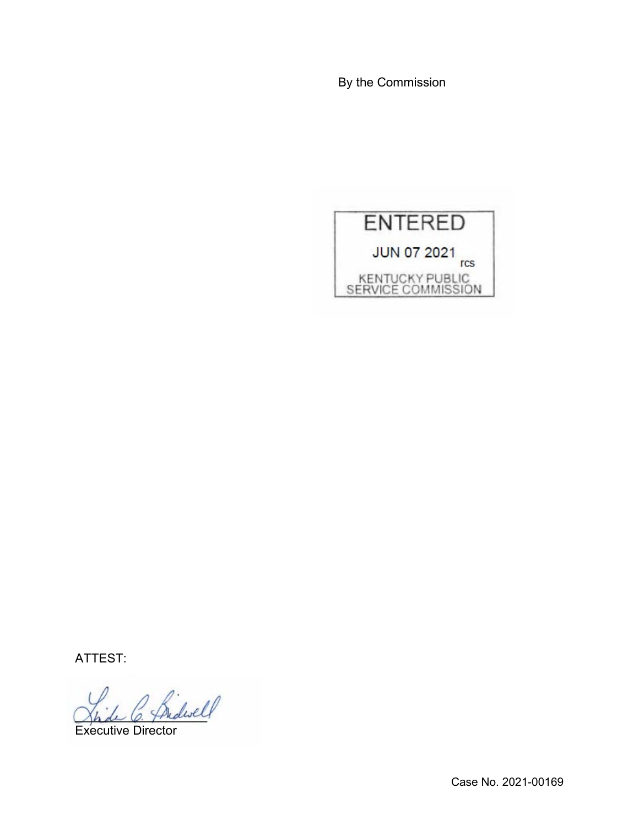By the Commission



ATTEST:

 $\frac{1}{||}$ 

Executive Director